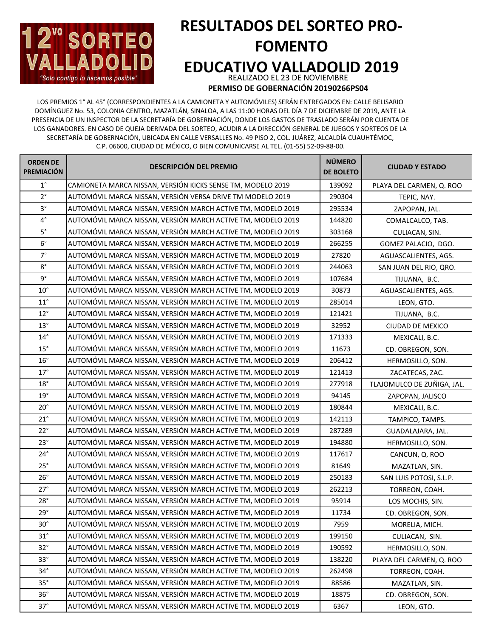

## **RESULTADOS DEL SORTEO PRO-FOMENTO EDUCATIVO VALLADOLID 2019** REALIZADO EL 23 DE NOVIEMBRE

**PERMISO DE GOBERNACIÓN 20190266PS04**

LOS PREMIOS 1° AL 45° (CORRESPONDIENTES A LA CAMIONETA Y AUTOMÓVILES) SERÁN ENTREGADOS EN: CALLE BELISARIO DOMÍNGUEZ No. 53, COLONIA CENTRO, MAZATLÁN, SINALOA, A LAS 11:00 HORAS DEL DÍA 7 DE DICIEMBRE DE 2019, ANTE LA PRESENCIA DE UN INSPECTOR DE LA SECRETARÍA DE GOBERNACIÓN, DONDE LOS GASTOS DE TRASLADO SERÁN POR CUENTA DE LOS GANADORES. EN CASO DE QUEJA DERIVADA DEL SORTEO, ACUDIR A LA DIRECCIÓN GENERAL DE JUEGOS Y SORTEOS DE LA SECRETARÍA DE GOBERNACIÓN, UBICADA EN CALLE VERSALLES No. 49 PISO 2, COL. JUÁREZ, ALCALDÍA CUAUHTÉMOC, C.P. 06600, CIUDAD DE MÉXICO, O BIEN COMUNICARSE AL TEL. (01-55) 52-09-88-00.

| <b>ORDEN DE</b><br><b>PREMIACIÓN</b> | <b>DESCRIPCIÓN DEL PREMIO</b>                                | <b>NÚMERO</b><br><b>DE BOLETO</b> | <b>CIUDAD Y ESTADO</b>     |
|--------------------------------------|--------------------------------------------------------------|-----------------------------------|----------------------------|
| $1^{\circ}$                          | CAMIONETA MARCA NISSAN, VERSIÓN KICKS SENSE TM, MODELO 2019  | 139092                            | PLAYA DEL CARMEN, Q. ROO   |
| $2^{\circ}$                          | AUTOMÓVIL MARCA NISSAN, VERSIÓN VERSA DRIVE TM MODELO 2019   | 290304                            | TEPIC, NAY.                |
| $3^{\circ}$                          | AUTOMÓVIL MARCA NISSAN, VERSIÓN MARCH ACTIVE TM, MODELO 2019 | 295534                            | ZAPOPAN, JAL.              |
| $4^{\circ}$                          | AUTOMÓVIL MARCA NISSAN, VERSIÓN MARCH ACTIVE TM, MODELO 2019 | 144820                            | COMALCALCO, TAB.           |
| $5^{\circ}$                          | AUTOMÓVIL MARCA NISSAN, VERSIÓN MARCH ACTIVE TM, MODELO 2019 | 303168                            | CULIACAN, SIN.             |
| $6^{\circ}$                          | AUTOMÓVIL MARCA NISSAN, VERSIÓN MARCH ACTIVE TM, MODELO 2019 | 266255                            | GOMEZ PALACIO, DGO.        |
| $7^{\circ}$                          | AUTOMÓVIL MARCA NISSAN, VERSIÓN MARCH ACTIVE TM, MODELO 2019 | 27820                             | AGUASCALIENTES, AGS.       |
| $8^{\circ}$                          | AUTOMÓVIL MARCA NISSAN, VERSIÓN MARCH ACTIVE TM, MODELO 2019 | 244063                            | SAN JUAN DEL RIO, QRO.     |
| 9°                                   | AUTOMÓVIL MARCA NISSAN, VERSIÓN MARCH ACTIVE TM, MODELO 2019 | 107684                            | TIJUANA, B.C.              |
| $10^{\circ}$                         | AUTOMÓVIL MARCA NISSAN, VERSIÓN MARCH ACTIVE TM, MODELO 2019 | 30873                             | AGUASCALIENTES, AGS.       |
| $11^{\circ}$                         | AUTOMÓVIL MARCA NISSAN, VERSIÓN MARCH ACTIVE TM, MODELO 2019 | 285014                            | LEON, GTO.                 |
| $12^{\circ}$                         | AUTOMÓVIL MARCA NISSAN, VERSIÓN MARCH ACTIVE TM, MODELO 2019 | 121421                            | TIJUANA, B.C.              |
| $13^{\circ}$                         | AUTOMÓVIL MARCA NISSAN, VERSIÓN MARCH ACTIVE TM, MODELO 2019 | 32952                             | CIUDAD DE MEXICO           |
| $14^{\circ}$                         | AUTOMÓVIL MARCA NISSAN, VERSIÓN MARCH ACTIVE TM, MODELO 2019 | 171333                            | MEXICALI, B.C.             |
| $15^{\circ}$                         | AUTOMÓVIL MARCA NISSAN, VERSIÓN MARCH ACTIVE TM, MODELO 2019 | 11673                             | CD. OBREGON, SON.          |
| 16°                                  | AUTOMÓVIL MARCA NISSAN, VERSIÓN MARCH ACTIVE TM, MODELO 2019 | 206412                            | HERMOSILLO, SON.           |
| 17°                                  | AUTOMÓVIL MARCA NISSAN, VERSIÓN MARCH ACTIVE TM, MODELO 2019 | 121413                            | ZACATECAS, ZAC.            |
| 18°                                  | AUTOMÓVIL MARCA NISSAN, VERSIÓN MARCH ACTIVE TM, MODELO 2019 | 277918                            | TLAJOMULCO DE ZUÑIGA, JAL. |
| 19°                                  | AUTOMÓVIL MARCA NISSAN, VERSIÓN MARCH ACTIVE TM, MODELO 2019 | 94145                             | ZAPOPAN, JALISCO           |
| $20^{\circ}$                         | AUTOMÓVIL MARCA NISSAN, VERSIÓN MARCH ACTIVE TM, MODELO 2019 | 180844                            | MEXICALI, B.C.             |
| $21^{\circ}$                         | AUTOMÓVIL MARCA NISSAN, VERSIÓN MARCH ACTIVE TM, MODELO 2019 | 142113                            | TAMPICO, TAMPS.            |
| $22^{\circ}$                         | AUTOMÓVIL MARCA NISSAN, VERSIÓN MARCH ACTIVE TM, MODELO 2019 | 287289                            | GUADALAJARA, JAL.          |
| 23°                                  | AUTOMÓVIL MARCA NISSAN, VERSIÓN MARCH ACTIVE TM, MODELO 2019 | 194880                            | HERMOSILLO, SON.           |
| $24^{\circ}$                         | AUTOMÓVIL MARCA NISSAN, VERSIÓN MARCH ACTIVE TM, MODELO 2019 | 117617                            | CANCUN, Q. ROO             |
| 25°                                  | AUTOMÓVIL MARCA NISSAN, VERSIÓN MARCH ACTIVE TM, MODELO 2019 | 81649                             | MAZATLAN, SIN.             |
| 26°                                  | AUTOMÓVIL MARCA NISSAN, VERSIÓN MARCH ACTIVE TM, MODELO 2019 | 250183                            | SAN LUIS POTOSI, S.L.P.    |
| 27°                                  | AUTOMÓVIL MARCA NISSAN, VERSIÓN MARCH ACTIVE TM, MODELO 2019 | 262213                            | TORREON, COAH.             |
| 28°                                  | AUTOMÓVIL MARCA NISSAN, VERSIÓN MARCH ACTIVE TM, MODELO 2019 | 95914                             | LOS MOCHIS, SIN.           |
| 29°                                  | AUTOMÓVIL MARCA NISSAN, VERSIÓN MARCH ACTIVE TM, MODELO 2019 | 11734                             | CD. OBREGON, SON.          |
| $30^\circ$                           | AUTOMÓVIL MARCA NISSAN, VERSIÓN MARCH ACTIVE TM, MODELO 2019 | 7959                              | MORELIA, MICH.             |
| $31^\circ$                           | AUTOMÓVIL MARCA NISSAN, VERSIÓN MARCH ACTIVE TM, MODELO 2019 | 199150                            | CULIACAN, SIN.             |
| 32°                                  | AUTOMÓVIL MARCA NISSAN, VERSIÓN MARCH ACTIVE TM, MODELO 2019 | 190592                            | HERMOSILLO, SON.           |
| $33^\circ$                           | AUTOMÓVIL MARCA NISSAN, VERSIÓN MARCH ACTIVE TM, MODELO 2019 | 138220                            | PLAYA DEL CARMEN, Q. ROO   |
| $34^\circ$                           | AUTOMÓVIL MARCA NISSAN, VERSIÓN MARCH ACTIVE TM, MODELO 2019 | 262498                            | TORREON, COAH.             |
| $35^\circ$                           | AUTOMÓVIL MARCA NISSAN, VERSIÓN MARCH ACTIVE TM, MODELO 2019 | 88586                             | MAZATLAN, SIN.             |
| 36°                                  | AUTOMÓVIL MARCA NISSAN, VERSIÓN MARCH ACTIVE TM, MODELO 2019 | 18875                             | CD. OBREGON, SON.          |
| $37^\circ$                           | AUTOMÓVIL MARCA NISSAN, VERSIÓN MARCH ACTIVE TM, MODELO 2019 | 6367                              | LEON, GTO.                 |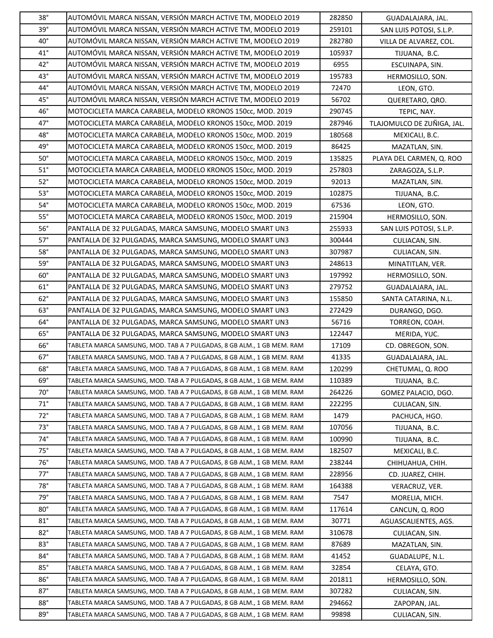| 38°          | AUTOMÓVIL MARCA NISSAN, VERSIÓN MARCH ACTIVE TM, MODELO 2019           | 282850 | GUADALAJARA, JAL.          |
|--------------|------------------------------------------------------------------------|--------|----------------------------|
| 39°          | AUTOMÓVIL MARCA NISSAN, VERSIÓN MARCH ACTIVE TM, MODELO 2019           | 259101 | SAN LUIS POTOSI, S.L.P.    |
| $40^{\circ}$ | AUTOMÓVIL MARCA NISSAN, VERSIÓN MARCH ACTIVE TM, MODELO 2019           | 282780 | VILLA DE ALVAREZ, COL.     |
| $41^{\circ}$ | AUTOMÓVIL MARCA NISSAN, VERSIÓN MARCH ACTIVE TM, MODELO 2019           | 105937 | TIJUANA, B.C.              |
| $42^{\circ}$ | AUTOMÓVIL MARCA NISSAN, VERSIÓN MARCH ACTIVE TM, MODELO 2019           | 6955   | ESCUINAPA, SIN.            |
| $43^{\circ}$ | AUTOMÓVIL MARCA NISSAN, VERSIÓN MARCH ACTIVE TM, MODELO 2019           | 195783 | HERMOSILLO, SON.           |
| 44°          | AUTOMÓVIL MARCA NISSAN, VERSIÓN MARCH ACTIVE TM, MODELO 2019           | 72470  | LEON, GTO.                 |
| $45^{\circ}$ | AUTOMÓVIL MARCA NISSAN, VERSIÓN MARCH ACTIVE TM, MODELO 2019           | 56702  | QUERETARO, QRO.            |
| $46^{\circ}$ | MOTOCICLETA MARCA CARABELA, MODELO KRONOS 150cc, MOD. 2019             | 290745 | TEPIC, NAY.                |
| $47^\circ$   | MOTOCICLETA MARCA CARABELA, MODELO KRONOS 150cc, MOD. 2019             | 287946 | TLAJOMULCO DE ZUÑIGA, JAL. |
| 48°          | MOTOCICLETA MARCA CARABELA, MODELO KRONOS 150cc, MOD. 2019             | 180568 | MEXICALI, B.C.             |
| 49°          | MOTOCICLETA MARCA CARABELA, MODELO KRONOS 150cc, MOD. 2019             | 86425  | MAZATLAN, SIN.             |
| $50^\circ$   | MOTOCICLETA MARCA CARABELA, MODELO KRONOS 150cc, MOD. 2019             | 135825 | PLAYA DEL CARMEN, Q. ROO   |
| $51^\circ$   | MOTOCICLETA MARCA CARABELA, MODELO KRONOS 150cc, MOD. 2019             | 257803 | ZARAGOZA, S.L.P.           |
| $52^\circ$   | MOTOCICLETA MARCA CARABELA, MODELO KRONOS 150cc, MOD. 2019             | 92013  | MAZATLAN, SIN.             |
| $53^\circ$   | MOTOCICLETA MARCA CARABELA, MODELO KRONOS 150cc, MOD. 2019             | 102875 | TIJUANA, B.C.              |
| $54^\circ$   | MOTOCICLETA MARCA CARABELA, MODELO KRONOS 150cc, MOD. 2019             | 67536  | LEON, GTO.                 |
| $55^\circ$   | MOTOCICLETA MARCA CARABELA, MODELO KRONOS 150cc, MOD. 2019             | 215904 | HERMOSILLO, SON.           |
| 56°          | PANTALLA DE 32 PULGADAS, MARCA SAMSUNG, MODELO SMART UN3               | 255933 | SAN LUIS POTOSI, S.L.P.    |
| $57^\circ$   | PANTALLA DE 32 PULGADAS, MARCA SAMSUNG, MODELO SMART UN3               | 300444 | CULIACAN, SIN.             |
| $58^\circ$   | PANTALLA DE 32 PULGADAS, MARCA SAMSUNG, MODELO SMART UN3               | 307987 | CULIACAN, SIN.             |
| $59^\circ$   | PANTALLA DE 32 PULGADAS, MARCA SAMSUNG, MODELO SMART UN3               | 248613 | MINATITLAN, VER.           |
| $60^{\circ}$ | PANTALLA DE 32 PULGADAS, MARCA SAMSUNG, MODELO SMART UN3               | 197992 | HERMOSILLO, SON.           |
| $61^\circ$   | PANTALLA DE 32 PULGADAS, MARCA SAMSUNG, MODELO SMART UN3               | 279752 | GUADALAJARA, JAL.          |
| 62°          | PANTALLA DE 32 PULGADAS, MARCA SAMSUNG, MODELO SMART UN3               | 155850 | SANTA CATARINA, N.L.       |
| $63^\circ$   | PANTALLA DE 32 PULGADAS, MARCA SAMSUNG, MODELO SMART UN3               | 272429 | DURANGO, DGO.              |
| $64^{\circ}$ | PANTALLA DE 32 PULGADAS, MARCA SAMSUNG, MODELO SMART UN3               | 56716  | TORREON, COAH.             |
| 65°          | PANTALLA DE 32 PULGADAS, MARCA SAMSUNG, MODELO SMART UN3               | 122447 | MERIDA, YUC.               |
| $66^{\circ}$ | TABLETA MARCA SAMSUNG, MOD. TAB A 7 PULGADAS, 8 GB ALM., 1 GB MEM. RAM | 17109  | CD. OBREGON, SON.          |
| $67^\circ$   | TABLETA MARCA SAMSUNG, MOD. TAB A 7 PULGADAS, 8 GB ALM., 1 GB MEM. RAM | 41335  | GUADALAJARA, JAL.          |
| 68°          | TABLETA MARCA SAMSUNG, MOD. TAB A 7 PULGADAS, 8 GB ALM., 1 GB MEM. RAM | 120299 | CHETUMAL, Q. ROO           |
| $69^{\circ}$ | TABLETA MARCA SAMSUNG, MOD. TAB A 7 PULGADAS, 8 GB ALM., 1 GB MEM. RAM | 110389 | TIJUANA, B.C.              |
| $70^{\circ}$ | TABLETA MARCA SAMSUNG, MOD. TAB A 7 PULGADAS, 8 GB ALM., 1 GB MEM. RAM | 264226 | GOMEZ PALACIO, DGO.        |
| $71^\circ$   | TABLETA MARCA SAMSUNG, MOD. TAB A 7 PULGADAS, 8 GB ALM., 1 GB MEM. RAM | 222295 | CULIACAN, SIN.             |
| $72^{\circ}$ | TABLETA MARCA SAMSUNG, MOD. TAB A 7 PULGADAS, 8 GB ALM., 1 GB MEM. RAM | 1479   | PACHUCA, HGO.              |
| $73^\circ$   | TABLETA MARCA SAMSUNG, MOD. TAB A 7 PULGADAS, 8 GB ALM., 1 GB MEM. RAM | 107056 | TIJUANA, B.C.              |
| $74^\circ$   | TABLETA MARCA SAMSUNG, MOD. TAB A 7 PULGADAS, 8 GB ALM., 1 GB MEM. RAM | 100990 | TIJUANA, B.C.              |
| $75^\circ$   | TABLETA MARCA SAMSUNG, MOD. TAB A 7 PULGADAS, 8 GB ALM., 1 GB MEM. RAM | 182507 | MEXICALI, B.C.             |
| $76^{\circ}$ | TABLETA MARCA SAMSUNG, MOD. TAB A 7 PULGADAS, 8 GB ALM., 1 GB MEM. RAM | 238244 | CHIHUAHUA, CHIH.           |
| $77^\circ$   | TABLETA MARCA SAMSUNG, MOD. TAB A 7 PULGADAS, 8 GB ALM., 1 GB MEM. RAM | 228956 | CD. JUAREZ, CHIH.          |
| 78°          | TABLETA MARCA SAMSUNG, MOD. TAB A 7 PULGADAS, 8 GB ALM., 1 GB MEM. RAM | 164388 | VERACRUZ, VER.             |
| 79°          | TABLETA MARCA SAMSUNG, MOD. TAB A 7 PULGADAS, 8 GB ALM., 1 GB MEM. RAM | 7547   | MORELIA, MICH.             |
| $80^{\circ}$ | TABLETA MARCA SAMSUNG, MOD. TAB A 7 PULGADAS, 8 GB ALM., 1 GB MEM. RAM | 117614 | CANCUN, Q. ROO             |
| $81^\circ$   | TABLETA MARCA SAMSUNG, MOD. TAB A 7 PULGADAS, 8 GB ALM., 1 GB MEM. RAM | 30771  | AGUASCALIENTES, AGS.       |
| $82^{\circ}$ | TABLETA MARCA SAMSUNG, MOD. TAB A 7 PULGADAS, 8 GB ALM., 1 GB MEM. RAM | 310678 | CULIACAN, SIN.             |
| 83°          | TABLETA MARCA SAMSUNG, MOD. TAB A 7 PULGADAS, 8 GB ALM., 1 GB MEM. RAM | 87689  | MAZATLAN, SIN.             |
| $84^{\circ}$ | TABLETA MARCA SAMSUNG, MOD. TAB A 7 PULGADAS, 8 GB ALM., 1 GB MEM. RAM | 41452  | GUADALUPE, N.L.            |
| $85^{\circ}$ | TABLETA MARCA SAMSUNG, MOD. TAB A 7 PULGADAS, 8 GB ALM., 1 GB MEM. RAM | 32854  | CELAYA, GTO.               |
| $86^{\circ}$ | TABLETA MARCA SAMSUNG, MOD. TAB A 7 PULGADAS, 8 GB ALM., 1 GB MEM. RAM | 201811 | HERMOSILLO, SON.           |
| $87^\circ$   | TABLETA MARCA SAMSUNG, MOD. TAB A 7 PULGADAS, 8 GB ALM., 1 GB MEM. RAM | 307282 | CULIACAN, SIN.             |
| 88°          | TABLETA MARCA SAMSUNG, MOD. TAB A 7 PULGADAS, 8 GB ALM., 1 GB MEM. RAM | 294662 | ZAPOPAN, JAL.              |
| $89^{\circ}$ | TABLETA MARCA SAMSUNG, MOD. TAB A 7 PULGADAS, 8 GB ALM., 1 GB MEM. RAM | 99898  | CULIACAN, SIN.             |